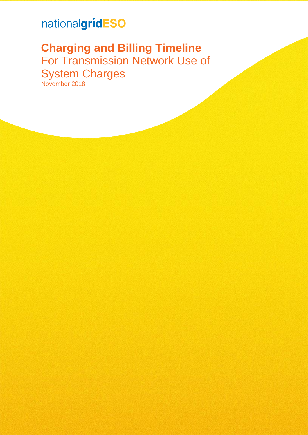## nationalgridESO

## **Charging and Billing Timeline** For Transmission Network Use of System Charges November 2018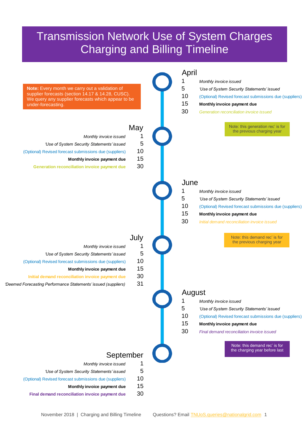## Transmission Network Use of System Charges Charging and Billing Timeline

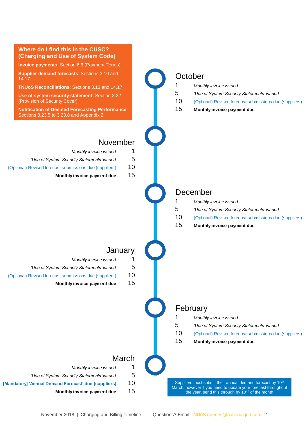